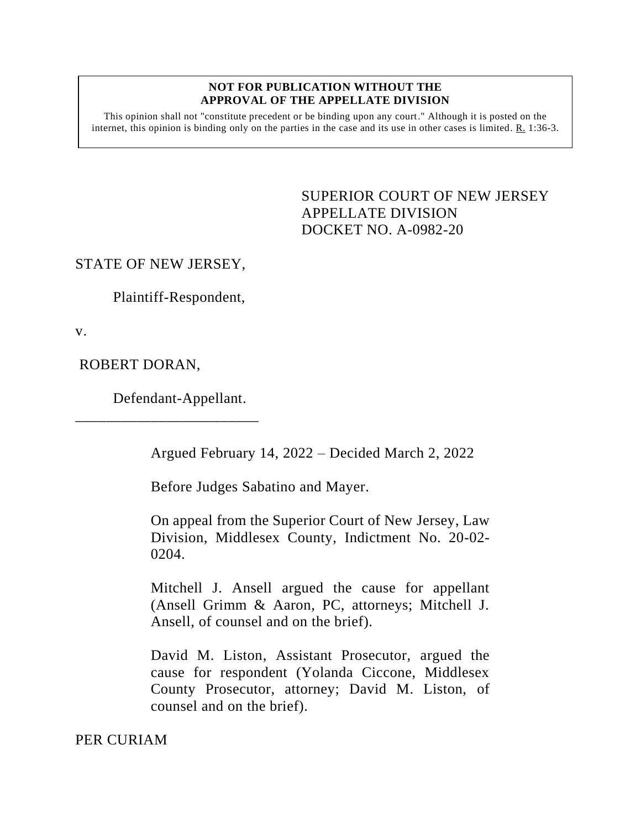## **NOT FOR PUBLICATION WITHOUT THE APPROVAL OF THE APPELLATE DIVISION**

This opinion shall not "constitute precedent or be binding upon any court." Although it is posted on the internet, this opinion is binding only on the parties in the case and its use in other cases is limited. R. 1:36-3.

> <span id="page-0-0"></span>SUPERIOR COURT OF NEW JERSEY APPELLATE DIVISION DOCKET NO. A-0982-20

## STATE OF NEW JERSEY,

Plaintiff-Respondent,

v.

ROBERT DORAN,

Defendant-Appellant.

\_\_\_\_\_\_\_\_\_\_\_\_\_\_\_\_\_\_\_\_\_\_\_\_

Argued February 14, 2022 – Decided March 2, 2022

Before Judges Sabatino and Mayer.

On appeal from the Superior Court of New Jersey, Law Division, Middlesex County, Indictment No. 20-02- 0204.

Mitchell J. Ansell argued the cause for appellant (Ansell Grimm & Aaron, PC, attorneys; Mitchell J. Ansell, of counsel and on the brief).

David M. Liston, Assistant Prosecutor, argued the cause for respondent (Yolanda Ciccone, Middlesex County Prosecutor, attorney; David M. Liston, of counsel and on the brief).

PER CURIAM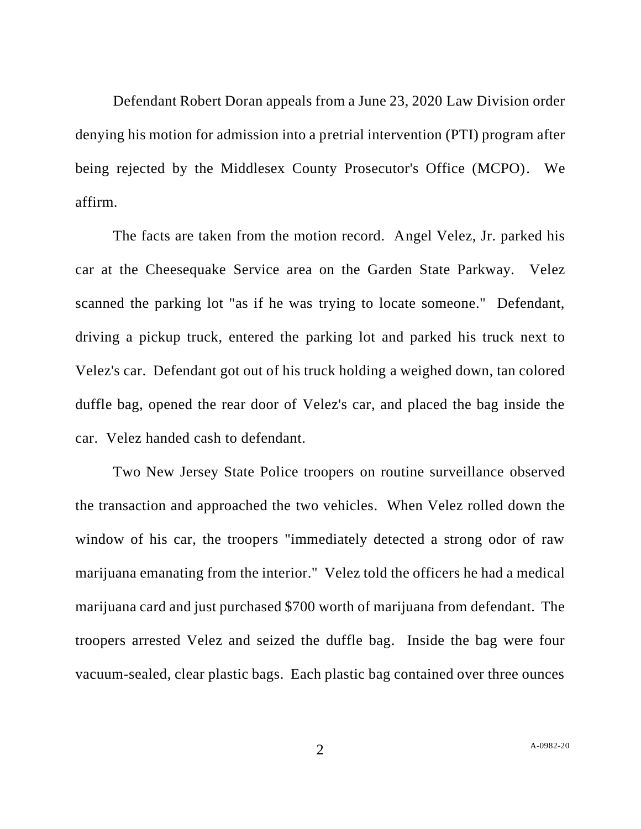Defendant Robert Doran appeals from a June 23, 2020 Law Division order denying his motion for admission into a pretrial intervention (PTI) program after being rejected by the Middlesex County Prosecutor's Office (MCPO). We affirm.

The facts are taken from the motion record. Angel Velez, Jr. parked his car at the Cheesequake Service area on the Garden State Parkway. Velez scanned the parking lot "as if he was trying to locate someone." Defendant, driving a pickup truck, entered the parking lot and parked his truck next to Velez's car. Defendant got out of his truck holding a weighed down, tan colored duffle bag, opened the rear door of Velez's car, and placed the bag inside the car. Velez handed cash to defendant.

Two New Jersey State Police troopers on routine surveillance observed the transaction and approached the two vehicles. When Velez rolled down the window of his car, the troopers "immediately detected a strong odor of raw marijuana emanating from the interior." Velez told the officers he had a medical marijuana card and just purchased \$700 worth of marijuana from defendant. The troopers arrested Velez and seized the duffle bag. Inside the bag were four vacuum-sealed, clear plastic bags. Each plastic bag contained over three ounces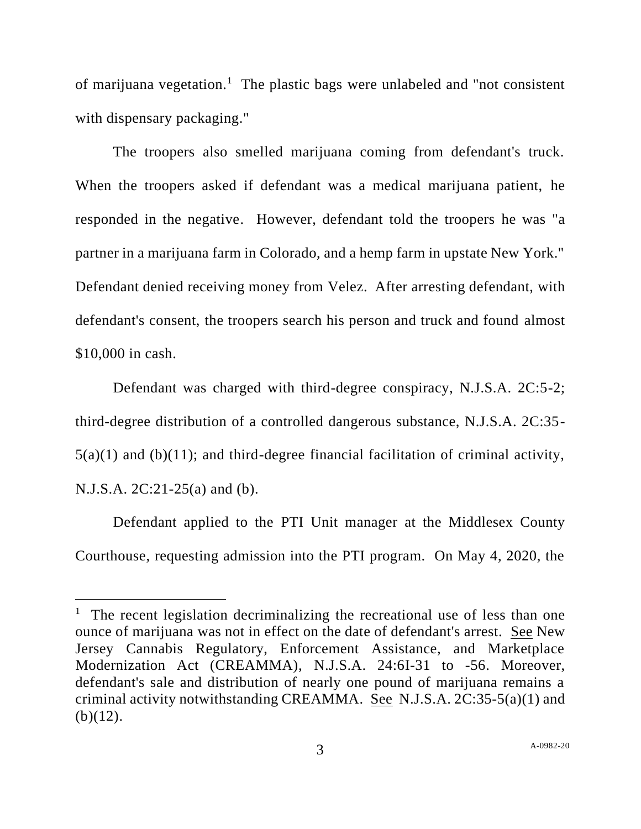of marijuana vegetation.<sup>1</sup> The plastic bags were unlabeled and "not consistent with dispensary packaging."

The troopers also smelled marijuana coming from defendant's truck. When the troopers asked if defendant was a medical marijuana patient, he responded in the negative. However, defendant told the troopers he was "a partner in a marijuana farm in Colorado, and a hemp farm in upstate New York." Defendant denied receiving money from Velez. After arresting defendant, with defendant's consent, the troopers search his person and truck and found almost \$10,000 in cash.

Defendant was charged with third-degree conspiracy, N.J.S.A. 2C:5-2; third-degree distribution of a controlled dangerous substance, N.J.S.A. 2C:35-  $5(a)(1)$  and  $(b)(11)$ ; and third-degree financial facilitation of criminal activity, N.J.S.A. 2C:21-25(a) and (b).

Defendant applied to the PTI Unit manager at the Middlesex County Courthouse, requesting admission into the PTI program. On May 4, 2020, the

<sup>&</sup>lt;sup>1</sup> The recent legislation decriminalizing the recreational use of less than one ounce of marijuana was not in effect on the date of defendant's arrest. See New Jersey Cannabis Regulatory, Enforcement Assistance, and Marketplace Modernization Act (CREAMMA), N.J.S.A. 24:6I-31 to -56. Moreover, defendant's sale and distribution of nearly one pound of marijuana remains a criminal activity notwithstanding CREAMMA. See N.J.S.A. 2C:35-5(a)(1) and  $(b)(12)$ .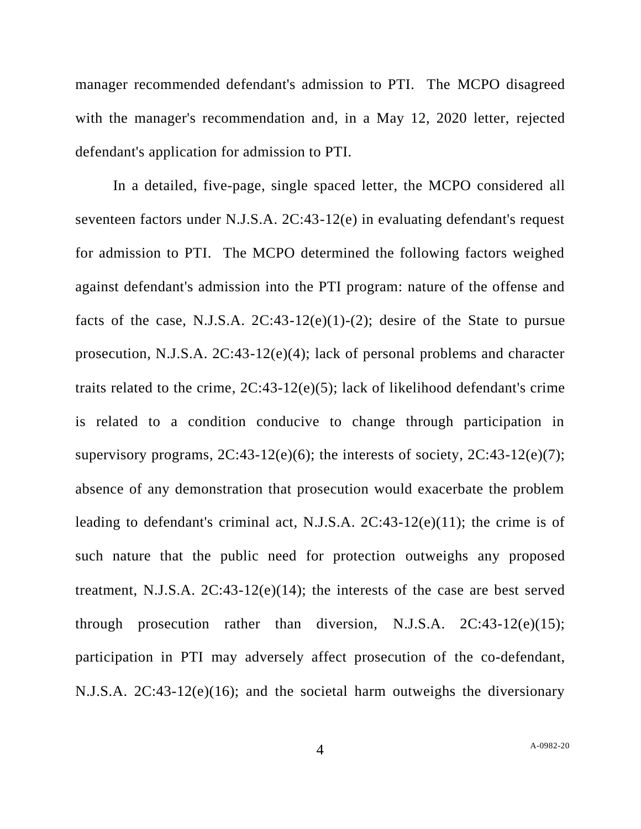manager recommended defendant's admission to PTI. The MCPO disagreed with the manager's recommendation and, in a May 12, 2020 letter, rejected defendant's application for admission to PTI.

In a detailed, five-page, single spaced letter, the MCPO considered all seventeen factors under N.J.S.A. 2C:43-12(e) in evaluating defendant's request for admission to PTI. The MCPO determined the following factors weighed against defendant's admission into the PTI program: nature of the offense and facts of the case, N.J.S.A.  $2C:43-12(e)(1)-(2)$ ; desire of the State to pursue prosecution, N.J.S.A. 2C:43-12(e)(4); lack of personal problems and character traits related to the crime, 2C:43-12(e)(5); lack of likelihood defendant's crime is related to a condition conducive to change through participation in supervisory programs,  $2C:43-12(e)(6)$ ; the interests of society,  $2C:43-12(e)(7)$ ; absence of any demonstration that prosecution would exacerbate the problem leading to defendant's criminal act, N.J.S.A. 2C:43-12(e)(11); the crime is of such nature that the public need for protection outweighs any proposed treatment, N.J.S.A. 2C:43-12(e)(14); the interests of the case are best served through prosecution rather than diversion, N.J.S.A.  $2C:43-12(e)(15)$ ; participation in PTI may adversely affect prosecution of the co-defendant, N.J.S.A. 2C:43-12(e)(16); and the societal harm outweighs the diversionary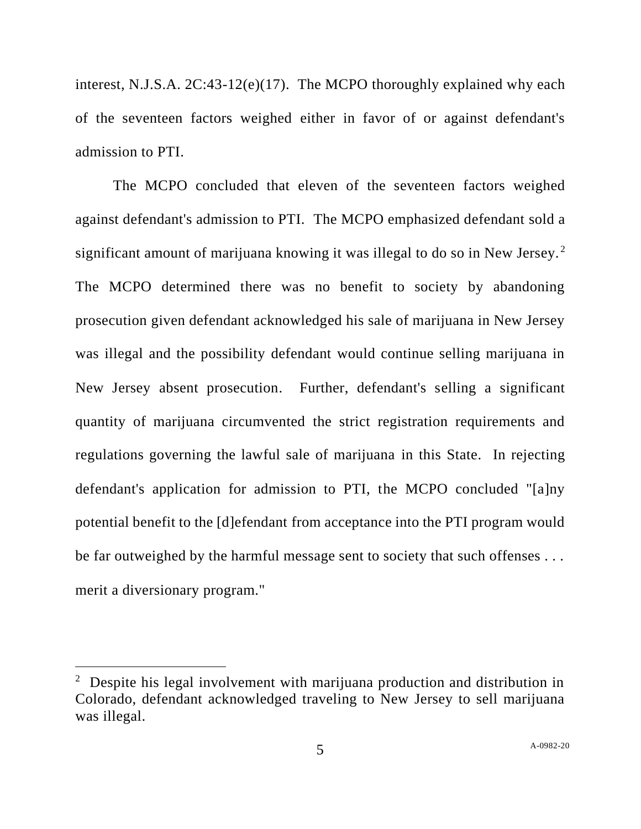interest, N.J.S.A. 2C:43-12(e)(17). The MCPO thoroughly explained why each of the seventeen factors weighed either in favor of or against defendant's admission to PTI.

The MCPO concluded that eleven of the seventeen factors weighed against defendant's admission to PTI. The MCPO emphasized defendant sold a significant amount of marijuana knowing it was illegal to do so in New Jersey.<sup>2</sup> The MCPO determined there was no benefit to society by abandoning prosecution given defendant acknowledged his sale of marijuana in New Jersey was illegal and the possibility defendant would continue selling marijuana in New Jersey absent prosecution. Further, defendant's selling a significant quantity of marijuana circumvented the strict registration requirements and regulations governing the lawful sale of marijuana in this State. In rejecting defendant's application for admission to PTI, the MCPO concluded "[a]ny potential benefit to the [d]efendant from acceptance into the PTI program would be far outweighed by the harmful message sent to society that such offenses . . . merit a diversionary program."

<sup>&</sup>lt;sup>2</sup> Despite his legal involvement with marijuana production and distribution in Colorado, defendant acknowledged traveling to New Jersey to sell marijuana was illegal.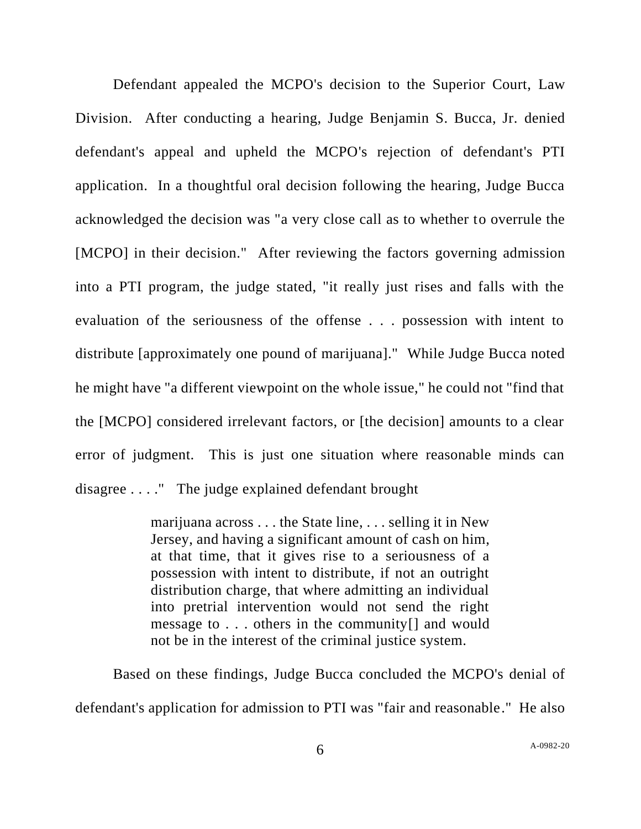Defendant appealed the MCPO's decision to the Superior Court, Law Division. After conducting a hearing, Judge Benjamin S. Bucca, Jr. denied defendant's appeal and upheld the MCPO's rejection of defendant's PTI application. In a thoughtful oral decision following the hearing, Judge Bucca acknowledged the decision was "a very close call as to whether to overrule the [MCPO] in their decision." After reviewing the factors governing admission into a PTI program, the judge stated, "it really just rises and falls with the evaluation of the seriousness of the offense . . . possession with intent to distribute [approximately one pound of marijuana]." While Judge Bucca noted he might have "a different viewpoint on the whole issue," he could not "find that the [MCPO] considered irrelevant factors, or [the decision] amounts to a clear error of judgment. This is just one situation where reasonable minds can disagree . . . ." The judge explained defendant brought

> marijuana across . . . the State line, . . . selling it in New Jersey, and having a significant amount of cash on him, at that time, that it gives rise to a seriousness of a possession with intent to distribute, if not an outright distribution charge, that where admitting an individual into pretrial intervention would not send the right message to . . . others in the community[] and would not be in the interest of the criminal justice system.

Based on these findings, Judge Bucca concluded the MCPO's denial of defendant's application for admission to PTI was "fair and reasonable." He also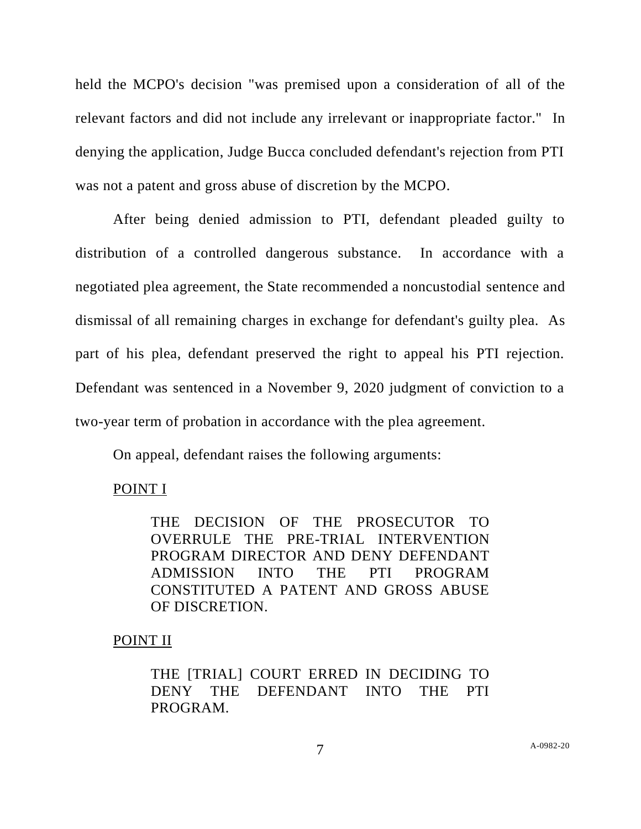held the MCPO's decision "was premised upon a consideration of all of the relevant factors and did not include any irrelevant or inappropriate factor." In denying the application, Judge Bucca concluded defendant's rejection from PTI was not a patent and gross abuse of discretion by the MCPO.

After being denied admission to PTI, defendant pleaded guilty to distribution of a controlled dangerous substance. In accordance with a negotiated plea agreement, the State recommended a noncustodial sentence and dismissal of all remaining charges in exchange for defendant's guilty plea. As part of his plea, defendant preserved the right to appeal his PTI rejection. Defendant was sentenced in a November 9, 2020 judgment of conviction to a two-year term of probation in accordance with the plea agreement.

On appeal, defendant raises the following arguments:

## POINT I

THE DECISION OF THE PROSECUTOR TO OVERRULE THE PRE-TRIAL INTERVENTION PROGRAM DIRECTOR AND DENY DEFENDANT ADMISSION INTO THE PTI PROGRAM CONSTITUTED A PATENT AND GROSS ABUSE OF DISCRETION.

## POINT II

THE [TRIAL] COURT ERRED IN DECIDING TO DENY THE DEFENDANT INTO THE PTI PROGRAM.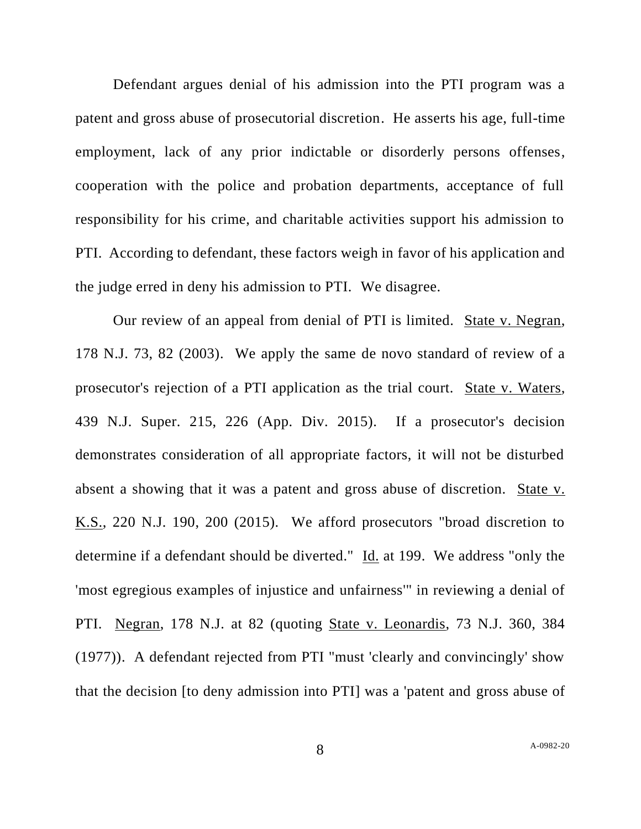Defendant argues denial of his admission into the PTI program was a patent and gross abuse of prosecutorial discretion. He asserts his age, full-time employment, lack of any prior indictable or disorderly persons offenses, cooperation with the police and probation departments, acceptance of full responsibility for his crime, and charitable activities support his admission to PTI. According to defendant, these factors weigh in favor of his application and the judge erred in deny his admission to PTI. We disagree.

Our review of an appeal from denial of PTI is limited. State v. Negran, 178 N.J. 73, 82 (2003). We apply the same de novo standard of review of a prosecutor's rejection of a PTI application as the trial court. State v. Waters, 439 N.J. Super. 215, 226 (App. Div. 2015). If a prosecutor's decision demonstrates consideration of all appropriate factors, it will not be disturbed absent a showing that it was a patent and gross abuse of discretion. State v. K.S., 220 N.J. 190, 200 (2015). We afford prosecutors "broad discretion to determine if a defendant should be diverted." Id. at 199. We address "only the 'most egregious examples of injustice and unfairness'" in reviewing a denial of PTI. Negran, 178 N.J. at 82 (quoting State v. Leonardis, 73 N.J. 360, 384 (1977)). A defendant rejected from PTI "must 'clearly and convincingly' show that the decision [to deny admission into PTI] was a 'patent and gross abuse of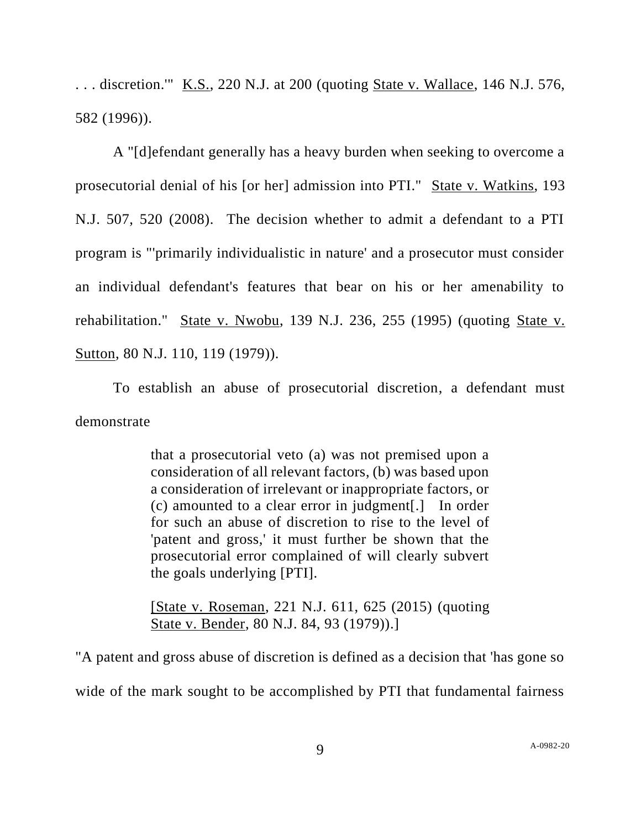. . . discretion.'" K.S., 220 N.J. at 200 (quoting State v. Wallace, 146 N.J. 576, 582 (1996)).

A "[d]efendant generally has a heavy burden when seeking to overcome a prosecutorial denial of his [or her] admission into PTI." State v. Watkins, 193 N.J. 507, 520 (2008). The decision whether to admit a defendant to a PTI program is "'primarily individualistic in nature' and a prosecutor must consider an individual defendant's features that bear on his or her amenability to rehabilitation." State v. Nwobu, 139 N.J. 236, 255 (1995) (quoting State v. Sutton, 80 N.J. 110, 119 (1979)).

To establish an abuse of prosecutorial discretion, a defendant must demonstrate

> that a prosecutorial veto (a) was not premised upon a consideration of all relevant factors, (b) was based upon a consideration of irrelevant or inappropriate factors, or (c) amounted to a clear error in judgment[.] In order for such an abuse of discretion to rise to the level of 'patent and gross,' it must further be shown that the prosecutorial error complained of will clearly subvert the goals underlying [PTI].

> [State v. Roseman, 221 N.J. 611, 625 (2015) (quoting State v. Bender, 80 N.J. 84, 93 (1979)).]

"A patent and gross abuse of discretion is defined as a decision that 'has gone so wide of the mark sought to be accomplished by PTI that fundamental fairness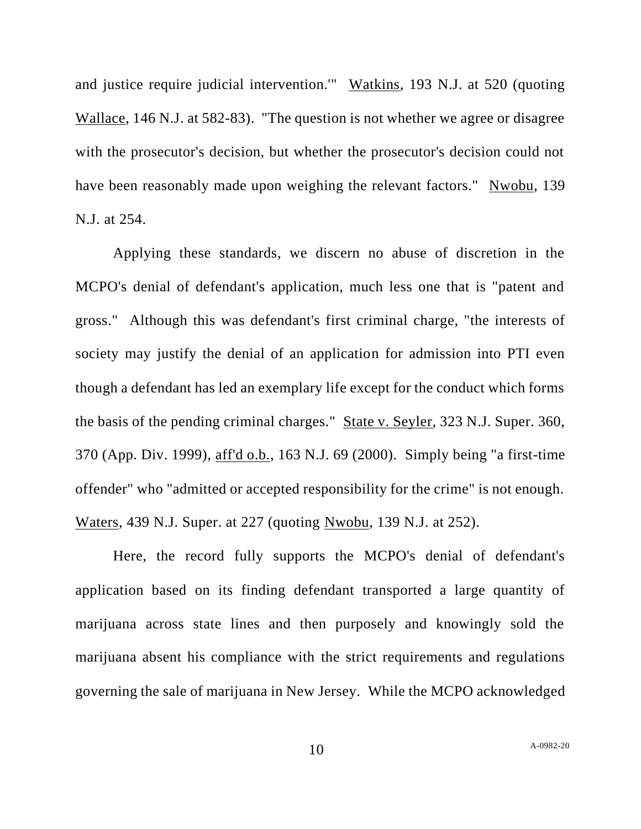and justice require judicial intervention.'" Watkins, 193 N.J. at 520 (quoting Wallace, 146 N.J. at 582-83). "The question is not whether we agree or disagree with the prosecutor's decision, but whether the prosecutor's decision could not have been reasonably made upon weighing the relevant factors." Nwobu, 139 N.J. at 254.

Applying these standards, we discern no abuse of discretion in the MCPO's denial of defendant's application, much less one that is "patent and gross." Although this was defendant's first criminal charge, "the interests of society may justify the denial of an application for admission into PTI even though a defendant has led an exemplary life except for the conduct which forms the basis of the pending criminal charges." State v. Seyler, 323 N.J. Super. 360, 370 (App. Div. 1999), aff'd o.b., 163 N.J. 69 (2000). Simply being "a first-time offender" who "admitted or accepted responsibility for the crime" is not enough. Waters, 439 N.J. Super. at 227 (quoting Nwobu, 139 N.J. at 252).

Here, the record fully supports the MCPO's denial of defendant's application based on its finding defendant transported a large quantity of marijuana across state lines and then purposely and knowingly sold the marijuana absent his compliance with the strict requirements and regulations governing the sale of marijuana in New Jersey. While the MCPO acknowledged